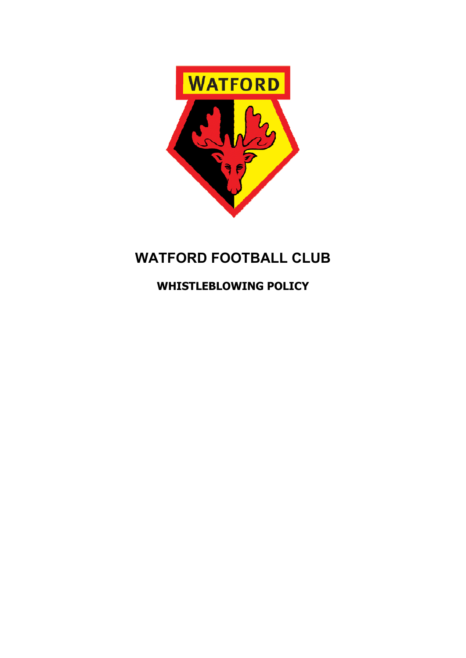

# **WATFORD FOOTBALL CLUB**

**WHISTLEBLOWING POLICY**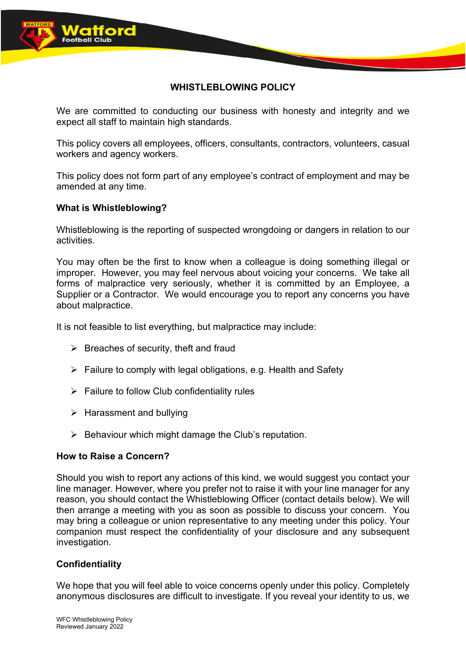

# **WHISTLEBLOWING POLICY**

We are committed to conducting our business with honesty and integrity and we expect all staff to maintain high standards.

This policy covers all employees, officers, consultants, contractors, volunteers, casual workers and agency workers.

This policy does not form part of any employee's contract of employment and may be amended at any time.

# **What is Whistleblowing?**

Whistleblowing is the reporting of suspected wrongdoing or dangers in relation to our activities.

You may often be the first to know when a colleague is doing something illegal or improper. However, you may feel nervous about voicing your concerns. We take all forms of malpractice very seriously, whether it is committed by an Employee, a Supplier or a Contractor. We would encourage you to report any concerns you have about malpractice.

It is not feasible to list everything, but malpractice may include:

- $\triangleright$  Breaches of security, theft and fraud
- $\triangleright$  Failure to comply with legal obligations, e.g. Health and Safety
- $\triangleright$  Failure to follow Club confidentiality rules
- $\triangleright$  Harassment and bullying
- $\triangleright$  Behaviour which might damage the Club's reputation.

#### **How to Raise a Concern?**

Should you wish to report any actions of this kind, we would suggest you contact your line manager. However, where you prefer not to raise it with your line manager for any reason, you should contact the Whistleblowing Officer (contact details below). We will then arrange a meeting with you as soon as possible to discuss your concern. You may bring a colleague or union representative to any meeting under this policy. Your companion must respect the confidentiality of your disclosure and any subsequent investigation.

# **Confidentiality**

We hope that you will feel able to voice concerns openly under this policy. Completely anonymous disclosures are difficult to investigate. If you reveal your identity to us, we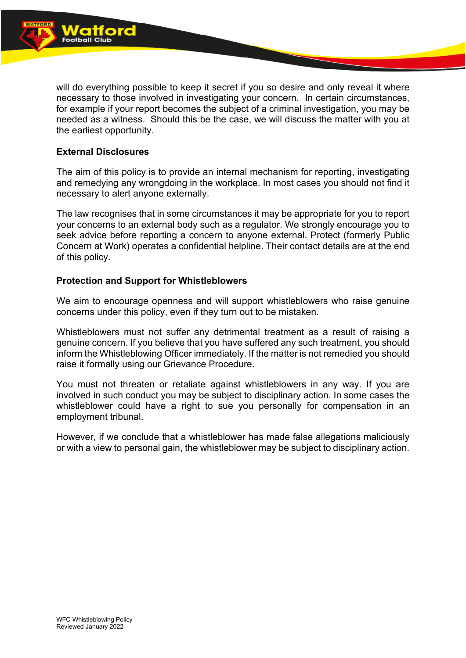

will do everything possible to keep it secret if you so desire and only reveal it where necessary to those involved in investigating your concern. In certain circumstances, for example if your report becomes the subject of a criminal investigation, you may be needed as a witness. Should this be the case, we will discuss the matter with you at the earliest opportunity.

# **External Disclosures**

The aim of this policy is to provide an internal mechanism for reporting, investigating and remedying any wrongdoing in the workplace. In most cases you should not find it necessary to alert anyone externally.

The law recognises that in some circumstances it may be appropriate for you to report your concerns to an external body such as a regulator. We strongly encourage you to seek advice before reporting a concern to anyone external. Protect (formerly Public Concern at Work) operates a confidential helpline. Their contact details are at the end of this policy.

# **Protection and Support for Whistleblowers**

We aim to encourage openness and will support whistleblowers who raise genuine concerns under this policy, even if they turn out to be mistaken.

Whistleblowers must not suffer any detrimental treatment as a result of raising a genuine concern. If you believe that you have suffered any such treatment, you should inform the Whistleblowing Officer immediately. If the matter is not remedied you should raise it formally using our Grievance Procedure.

You must not threaten or retaliate against whistleblowers in any way. If you are involved in such conduct you may be subject to disciplinary action. In some cases the whistleblower could have a right to sue you personally for compensation in an employment tribunal.

However, if we conclude that a whistleblower has made false allegations maliciously or with a view to personal gain, the whistleblower may be subject to disciplinary action.